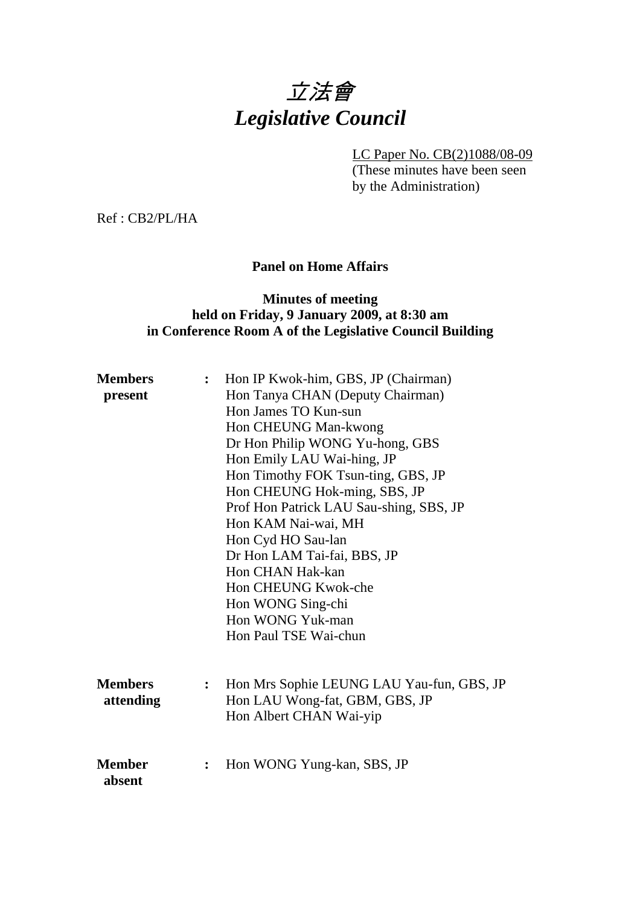# 立法會 *Legislative Council*

LC Paper No. CB(2)1088/08-09

(These minutes have been seen by the Administration)

Ref : CB2/PL/HA

# **Panel on Home Affairs**

# **Minutes of meeting held on Friday, 9 January 2009, at 8:30 am in Conference Room A of the Legislative Council Building**

| <b>Members</b><br>present   | $\ddot{\cdot}$ | Hon IP Kwok-him, GBS, JP (Chairman)<br>Hon Tanya CHAN (Deputy Chairman)<br>Hon James TO Kun-sun<br>Hon CHEUNG Man-kwong<br>Dr Hon Philip WONG Yu-hong, GBS<br>Hon Emily LAU Wai-hing, JP<br>Hon Timothy FOK Tsun-ting, GBS, JP<br>Hon CHEUNG Hok-ming, SBS, JP<br>Prof Hon Patrick LAU Sau-shing, SBS, JP<br>Hon KAM Nai-wai, MH<br>Hon Cyd HO Sau-lan<br>Dr Hon LAM Tai-fai, BBS, JP<br>Hon CHAN Hak-kan<br>Hon CHEUNG Kwok-che<br>Hon WONG Sing-chi<br>Hon WONG Yuk-man<br>Hon Paul TSE Wai-chun |
|-----------------------------|----------------|----------------------------------------------------------------------------------------------------------------------------------------------------------------------------------------------------------------------------------------------------------------------------------------------------------------------------------------------------------------------------------------------------------------------------------------------------------------------------------------------------|
| <b>Members</b><br>attending | $\ddot{\cdot}$ | Hon Mrs Sophie LEUNG LAU Yau-fun, GBS, JP<br>Hon LAU Wong-fat, GBM, GBS, JP<br>Hon Albert CHAN Wai-yip                                                                                                                                                                                                                                                                                                                                                                                             |
| <b>Member</b><br>absent     | $\ddot{\cdot}$ | Hon WONG Yung-kan, SBS, JP                                                                                                                                                                                                                                                                                                                                                                                                                                                                         |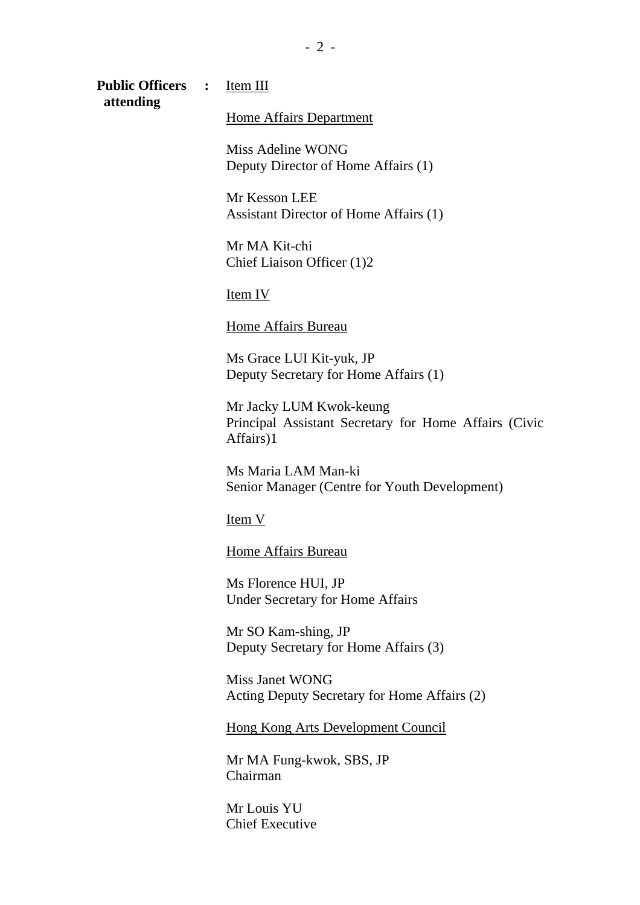**Public Officers :** Item III  **attending** 

Home Affairs Department

Miss Adeline WONG Deputy Director of Home Affairs (1)

Mr Kesson LEE Assistant Director of Home Affairs (1)

Mr MA Kit-chi Chief Liaison Officer (1)2

Item IV

Home Affairs Bureau

Ms Grace LUI Kit-yuk, JP Deputy Secretary for Home Affairs (1)

Mr Jacky LUM Kwok-keung Principal Assistant Secretary for Home Affairs (Civic Affairs)1

Ms Maria LAM Man-ki Senior Manager (Centre for Youth Development)

Item V

Home Affairs Bureau

Ms Florence HUI, JP Under Secretary for Home Affairs

Mr SO Kam-shing, JP Deputy Secretary for Home Affairs (3)

Miss Janet WONG Acting Deputy Secretary for Home Affairs (2)

Hong Kong Arts Development Council

Mr MA Fung-kwok, SBS, JP Chairman

Mr Louis YU Chief Executive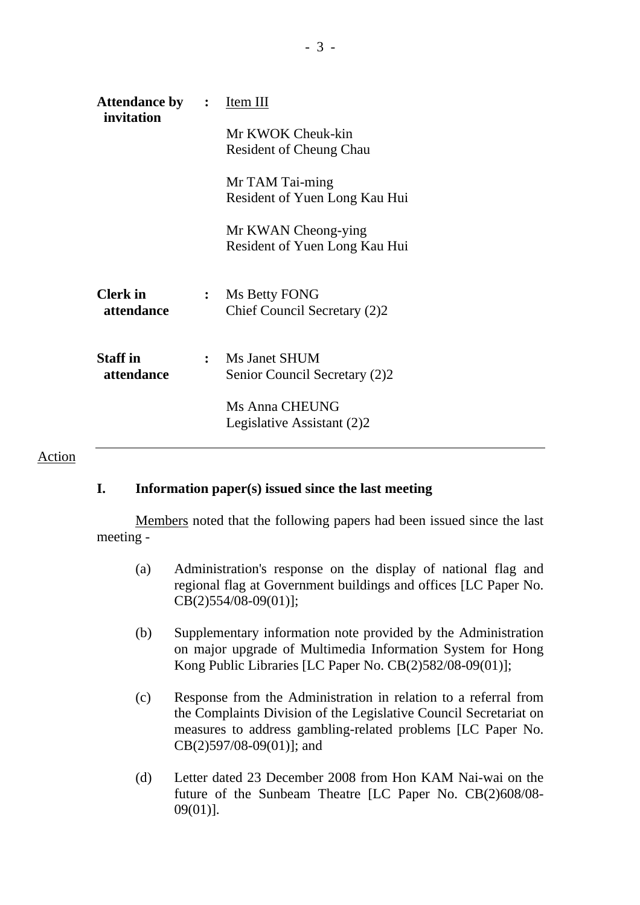| <b>Attendance by :</b><br>invitation |                | Item III                       |
|--------------------------------------|----------------|--------------------------------|
|                                      |                | Mr KWOK Cheuk-kin              |
|                                      |                | <b>Resident of Cheung Chau</b> |
|                                      |                | Mr TAM Tai-ming                |
|                                      |                | Resident of Yuen Long Kau Hui  |
|                                      |                | Mr KWAN Cheong-ying            |
|                                      |                | Resident of Yuen Long Kau Hui  |
| <b>Clerk</b> in                      | $\ddot{\cdot}$ | Ms Betty FONG                  |
| attendance                           |                | Chief Council Secretary (2)2   |
| <b>Staff</b> in                      | $\mathbf{r}$   | Ms Janet SHUM                  |
| attendance                           |                | Senior Council Secretary (2)2  |
|                                      |                | Ms Anna CHEUNG                 |
|                                      |                | Legislative Assistant (2)2     |
|                                      |                |                                |

#### Action

# **I. Information paper(s) issued since the last meeting**

Members noted that the following papers had been issued since the last meeting -

- (a) Administration's response on the display of national flag and regional flag at Government buildings and offices [LC Paper No. CB(2)554/08-09(01)];
- (b) Supplementary information note provided by the Administration on major upgrade of Multimedia Information System for Hong Kong Public Libraries [LC Paper No. CB(2)582/08-09(01)];
- (c) Response from the Administration in relation to a referral from the Complaints Division of the Legislative Council Secretariat on measures to address gambling-related problems [LC Paper No. CB(2)597/08-09(01)]; and
- (d) Letter dated 23 December 2008 from Hon KAM Nai-wai on the future of the Sunbeam Theatre [LC Paper No. CB(2)608/08- 09(01)].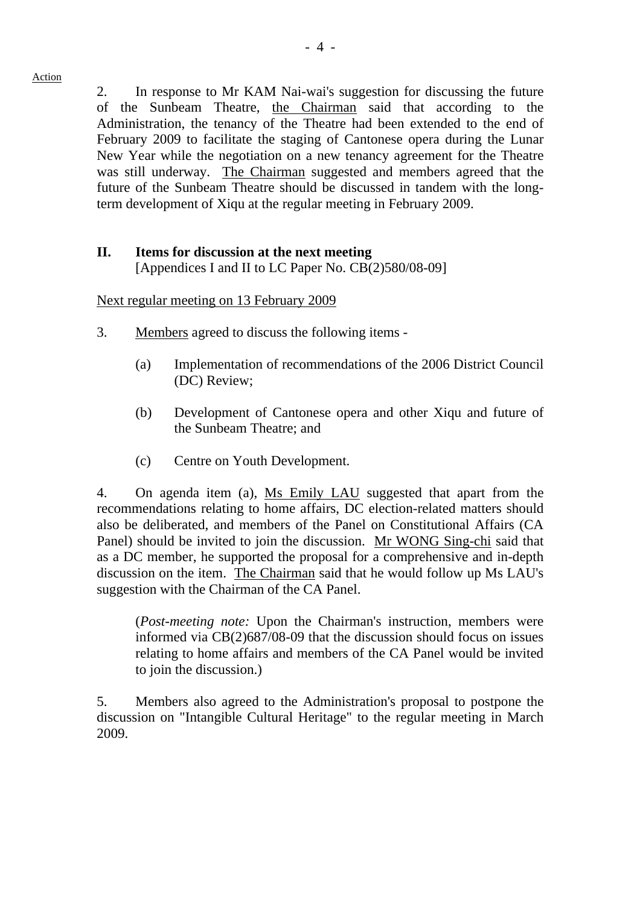2. In response to Mr KAM Nai-wai's suggestion for discussing the future of the Sunbeam Theatre, the Chairman said that according to the Administration, the tenancy of the Theatre had been extended to the end of February 2009 to facilitate the staging of Cantonese opera during the Lunar New Year while the negotiation on a new tenancy agreement for the Theatre was still underway. The Chairman suggested and members agreed that the future of the Sunbeam Theatre should be discussed in tandem with the longterm development of Xiqu at the regular meeting in February 2009.

# **II. Items for discussion at the next meeting**

[Appendices I and II to LC Paper No. CB(2)580/08-09]

Next regular meeting on 13 February 2009

- 3. Members agreed to discuss the following items
	- (a) Implementation of recommendations of the 2006 District Council (DC) Review;
	- (b) Development of Cantonese opera and other Xiqu and future of the Sunbeam Theatre; and
	- (c) Centre on Youth Development.

4. On agenda item (a), Ms Emily LAU suggested that apart from the recommendations relating to home affairs, DC election-related matters should also be deliberated, and members of the Panel on Constitutional Affairs (CA Panel) should be invited to join the discussion. Mr WONG Sing-chi said that as a DC member, he supported the proposal for a comprehensive and in-depth discussion on the item. The Chairman said that he would follow up Ms LAU's suggestion with the Chairman of the CA Panel.

(*Post-meeting note:* Upon the Chairman's instruction, members were informed via CB(2)687/08-09 that the discussion should focus on issues relating to home affairs and members of the CA Panel would be invited to join the discussion.)

5. Members also agreed to the Administration's proposal to postpone the discussion on "Intangible Cultural Heritage" to the regular meeting in March 2009.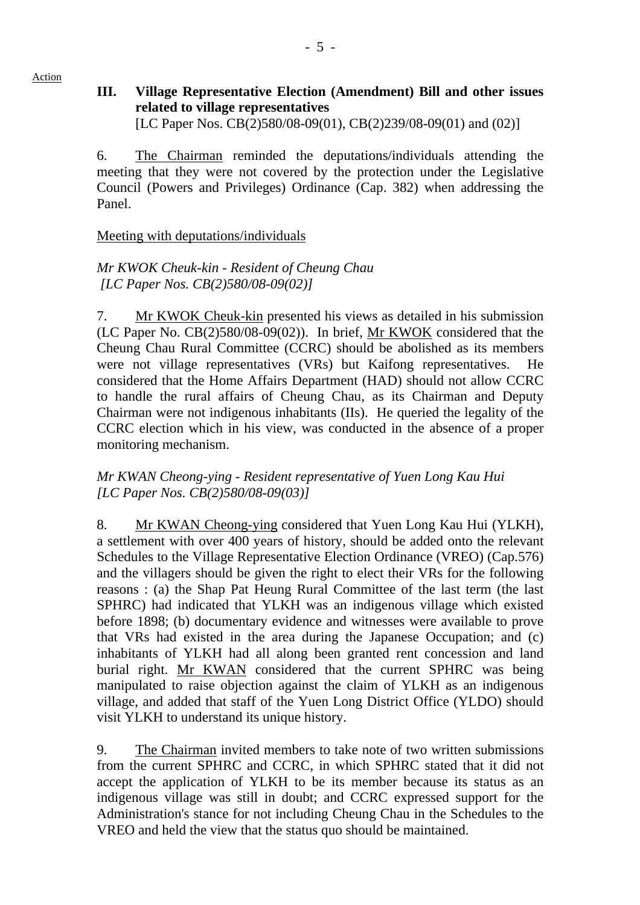# **III. Village Representative Election (Amendment) Bill and other issues related to village representatives**  [LC Paper Nos. CB(2)580/08-09(01), CB(2)239/08-09(01) and (02)]

6. The Chairman reminded the deputations/individuals attending the meeting that they were not covered by the protection under the Legislative Council (Powers and Privileges) Ordinance (Cap. 382) when addressing the Panel.

# Meeting with deputations/individuals

Action

# *Mr KWOK Cheuk-kin* - *Resident of Cheung Chau [LC Paper Nos. CB(2)580/08-09(02)]*

7. Mr KWOK Cheuk-kin presented his views as detailed in his submission (LC Paper No. CB(2)580/08-09(02)). In brief, Mr KWOK considered that the Cheung Chau Rural Committee (CCRC) should be abolished as its members were not village representatives (VRs) but Kaifong representatives. He considered that the Home Affairs Department (HAD) should not allow CCRC to handle the rural affairs of Cheung Chau, as its Chairman and Deputy Chairman were not indigenous inhabitants (IIs). He queried the legality of the CCRC election which in his view, was conducted in the absence of a proper monitoring mechanism.

# *Mr KWAN Cheong-ying - Resident representative of Yuen Long Kau Hui [LC Paper Nos. CB(2)580/08-09(03)]*

8. Mr KWAN Cheong-ying considered that Yuen Long Kau Hui (YLKH), a settlement with over 400 years of history, should be added onto the relevant Schedules to the Village Representative Election Ordinance (VREO) (Cap.576) and the villagers should be given the right to elect their VRs for the following reasons : (a) the Shap Pat Heung Rural Committee of the last term (the last SPHRC) had indicated that YLKH was an indigenous village which existed before 1898; (b) documentary evidence and witnesses were available to prove that VRs had existed in the area during the Japanese Occupation; and (c) inhabitants of YLKH had all along been granted rent concession and land burial right. Mr KWAN considered that the current SPHRC was being manipulated to raise objection against the claim of YLKH as an indigenous village, and added that staff of the Yuen Long District Office (YLDO) should visit YLKH to understand its unique history.

9. The Chairman invited members to take note of two written submissions from the current SPHRC and CCRC, in which SPHRC stated that it did not accept the application of YLKH to be its member because its status as an indigenous village was still in doubt; and CCRC expressed support for the Administration's stance for not including Cheung Chau in the Schedules to the VREO and held the view that the status quo should be maintained.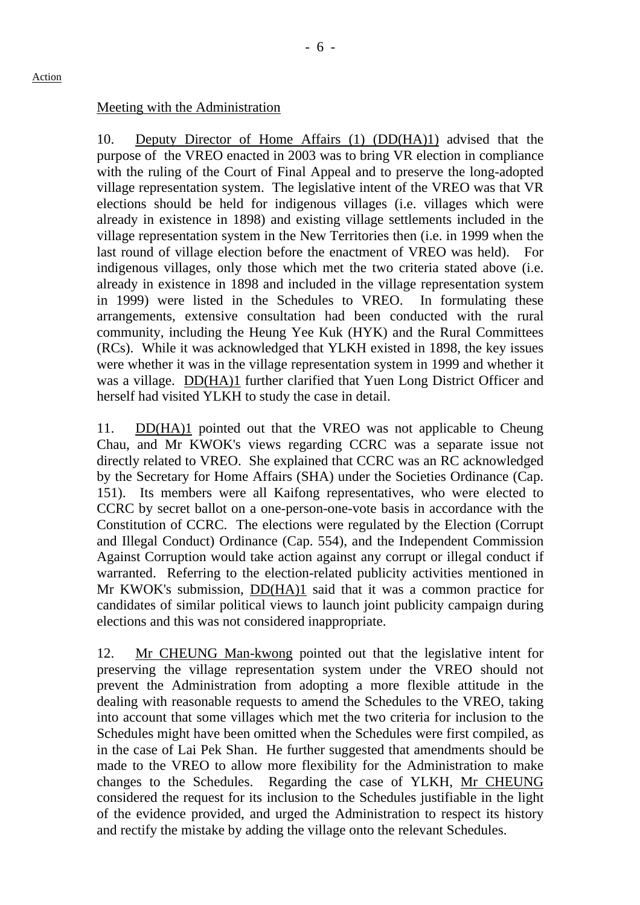# Meeting with the Administration

10. Deputy Director of Home Affairs (1) (DD(HA)1) advised that the purpose of the VREO enacted in 2003 was to bring VR election in compliance with the ruling of the Court of Final Appeal and to preserve the long-adopted village representation system. The legislative intent of the VREO was that VR elections should be held for indigenous villages (i.e. villages which were already in existence in 1898) and existing village settlements included in the village representation system in the New Territories then (i.e. in 1999 when the last round of village election before the enactment of VREO was held). For indigenous villages, only those which met the two criteria stated above (i.e. already in existence in 1898 and included in the village representation system in 1999) were listed in the Schedules to VREO. In formulating these arrangements, extensive consultation had been conducted with the rural community, including the Heung Yee Kuk (HYK) and the Rural Committees (RCs). While it was acknowledged that YLKH existed in 1898, the key issues were whether it was in the village representation system in 1999 and whether it was a village. DD(HA)1 further clarified that Yuen Long District Officer and herself had visited YLKH to study the case in detail.

11. DD(HA)1 pointed out that the VREO was not applicable to Cheung Chau, and Mr KWOK's views regarding CCRC was a separate issue not directly related to VREO. She explained that CCRC was an RC acknowledged by the Secretary for Home Affairs (SHA) under the Societies Ordinance (Cap. 151). Its members were all Kaifong representatives, who were elected to CCRC by secret ballot on a one-person-one-vote basis in accordance with the Constitution of CCRC. The elections were regulated by the Election (Corrupt and Illegal Conduct) Ordinance (Cap. 554), and the Independent Commission Against Corruption would take action against any corrupt or illegal conduct if warranted. Referring to the election-related publicity activities mentioned in Mr KWOK's submission, DD(HA)1 said that it was a common practice for candidates of similar political views to launch joint publicity campaign during elections and this was not considered inappropriate.

12. Mr CHEUNG Man-kwong pointed out that the legislative intent for preserving the village representation system under the VREO should not prevent the Administration from adopting a more flexible attitude in the dealing with reasonable requests to amend the Schedules to the VREO, taking into account that some villages which met the two criteria for inclusion to the Schedules might have been omitted when the Schedules were first compiled, as in the case of Lai Pek Shan. He further suggested that amendments should be made to the VREO to allow more flexibility for the Administration to make changes to the Schedules. Regarding the case of YLKH, Mr CHEUNG considered the request for its inclusion to the Schedules justifiable in the light of the evidence provided, and urged the Administration to respect its history and rectify the mistake by adding the village onto the relevant Schedules.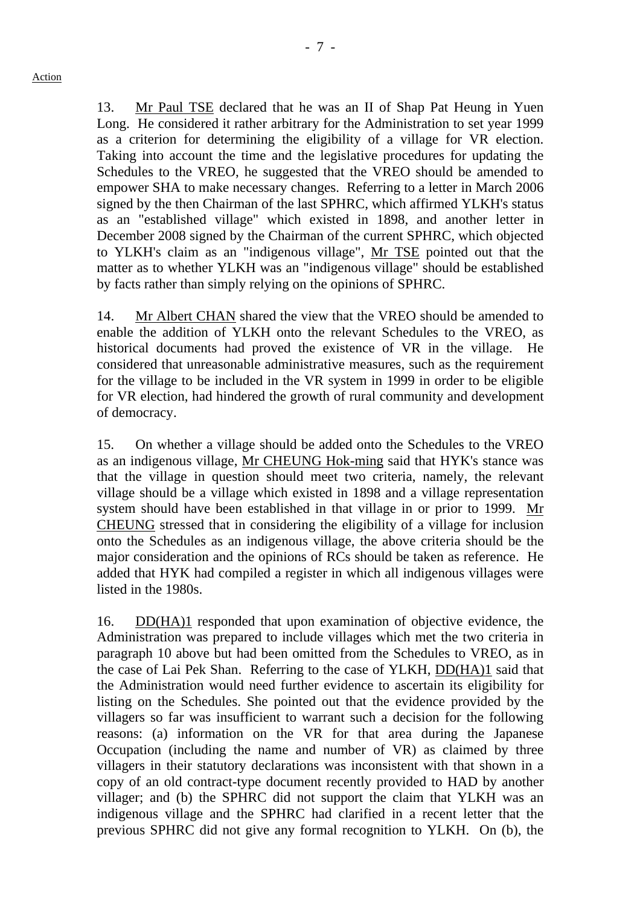13. Mr Paul TSE declared that he was an II of Shap Pat Heung in Yuen Long. He considered it rather arbitrary for the Administration to set year 1999 as a criterion for determining the eligibility of a village for VR election. Taking into account the time and the legislative procedures for updating the Schedules to the VREO, he suggested that the VREO should be amended to empower SHA to make necessary changes. Referring to a letter in March 2006 signed by the then Chairman of the last SPHRC, which affirmed YLKH's status as an "established village" which existed in 1898, and another letter in December 2008 signed by the Chairman of the current SPHRC, which objected to YLKH's claim as an "indigenous village", Mr TSE pointed out that the matter as to whether YLKH was an "indigenous village" should be established by facts rather than simply relying on the opinions of SPHRC.

14. Mr Albert CHAN shared the view that the VREO should be amended to enable the addition of YLKH onto the relevant Schedules to the VREO, as historical documents had proved the existence of VR in the village. He considered that unreasonable administrative measures, such as the requirement for the village to be included in the VR system in 1999 in order to be eligible for VR election, had hindered the growth of rural community and development of democracy.

15. On whether a village should be added onto the Schedules to the VREO as an indigenous village, Mr CHEUNG Hok-ming said that HYK's stance was that the village in question should meet two criteria, namely, the relevant village should be a village which existed in 1898 and a village representation system should have been established in that village in or prior to 1999. Mr CHEUNG stressed that in considering the eligibility of a village for inclusion onto the Schedules as an indigenous village, the above criteria should be the major consideration and the opinions of RCs should be taken as reference. He added that HYK had compiled a register in which all indigenous villages were listed in the 1980s.

16. DD(HA)1 responded that upon examination of objective evidence, the Administration was prepared to include villages which met the two criteria in paragraph 10 above but had been omitted from the Schedules to VREO, as in the case of Lai Pek Shan. Referring to the case of YLKH, DD(HA)1 said that the Administration would need further evidence to ascertain its eligibility for listing on the Schedules. She pointed out that the evidence provided by the villagers so far was insufficient to warrant such a decision for the following reasons: (a) information on the VR for that area during the Japanese Occupation (including the name and number of VR) as claimed by three villagers in their statutory declarations was inconsistent with that shown in a copy of an old contract-type document recently provided to HAD by another villager; and (b) the SPHRC did not support the claim that YLKH was an indigenous village and the SPHRC had clarified in a recent letter that the previous SPHRC did not give any formal recognition to YLKH. On (b), the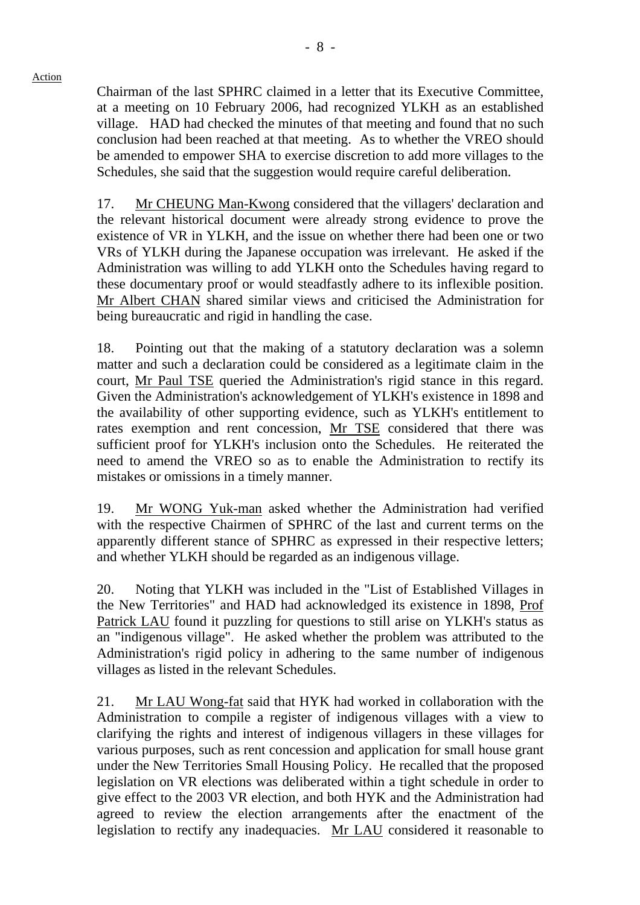Action

Chairman of the last SPHRC claimed in a letter that its Executive Committee, at a meeting on 10 February 2006, had recognized YLKH as an established village. HAD had checked the minutes of that meeting and found that no such conclusion had been reached at that meeting. As to whether the VREO should be amended to empower SHA to exercise discretion to add more villages to the Schedules, she said that the suggestion would require careful deliberation.

17. Mr CHEUNG Man-Kwong considered that the villagers' declaration and the relevant historical document were already strong evidence to prove the existence of VR in YLKH, and the issue on whether there had been one or two VRs of YLKH during the Japanese occupation was irrelevant. He asked if the Administration was willing to add YLKH onto the Schedules having regard to these documentary proof or would steadfastly adhere to its inflexible position. Mr Albert CHAN shared similar views and criticised the Administration for being bureaucratic and rigid in handling the case.

18. Pointing out that the making of a statutory declaration was a solemn matter and such a declaration could be considered as a legitimate claim in the court, Mr Paul TSE queried the Administration's rigid stance in this regard. Given the Administration's acknowledgement of YLKH's existence in 1898 and the availability of other supporting evidence, such as YLKH's entitlement to rates exemption and rent concession, Mr TSE considered that there was sufficient proof for YLKH's inclusion onto the Schedules. He reiterated the need to amend the VREO so as to enable the Administration to rectify its mistakes or omissions in a timely manner.

19. Mr WONG Yuk-man asked whether the Administration had verified with the respective Chairmen of SPHRC of the last and current terms on the apparently different stance of SPHRC as expressed in their respective letters; and whether YLKH should be regarded as an indigenous village.

20. Noting that YLKH was included in the "List of Established Villages in the New Territories" and HAD had acknowledged its existence in 1898, Prof Patrick LAU found it puzzling for questions to still arise on YLKH's status as an "indigenous village". He asked whether the problem was attributed to the Administration's rigid policy in adhering to the same number of indigenous villages as listed in the relevant Schedules.

21. Mr LAU Wong-fat said that HYK had worked in collaboration with the Administration to compile a register of indigenous villages with a view to clarifying the rights and interest of indigenous villagers in these villages for various purposes, such as rent concession and application for small house grant under the New Territories Small Housing Policy. He recalled that the proposed legislation on VR elections was deliberated within a tight schedule in order to give effect to the 2003 VR election, and both HYK and the Administration had agreed to review the election arrangements after the enactment of the legislation to rectify any inadequacies. Mr LAU considered it reasonable to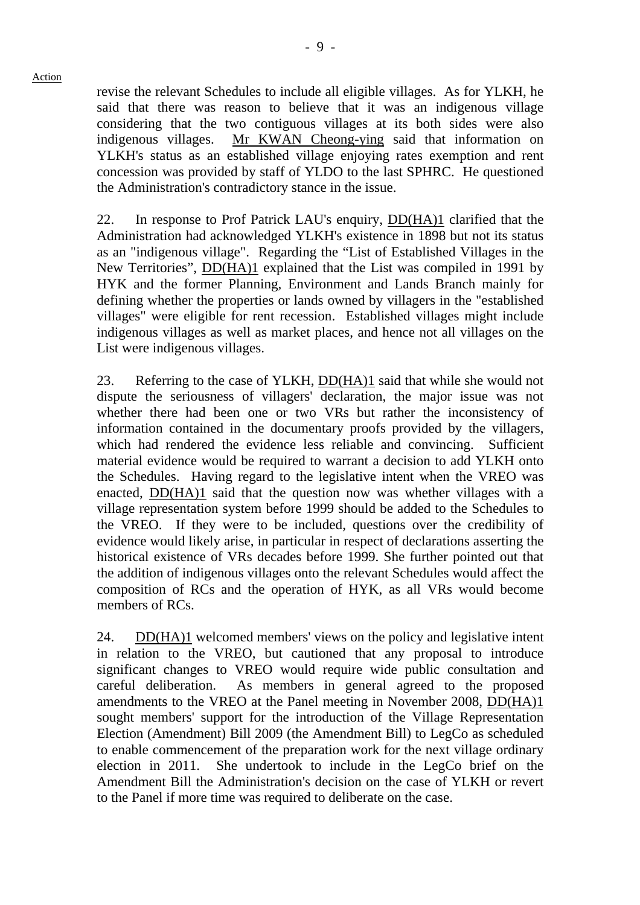revise the relevant Schedules to include all eligible villages. As for YLKH, he said that there was reason to believe that it was an indigenous village considering that the two contiguous villages at its both sides were also indigenous villages. Mr KWAN Cheong-ying said that information on YLKH's status as an established village enjoying rates exemption and rent concession was provided by staff of YLDO to the last SPHRC. He questioned the Administration's contradictory stance in the issue.

22. In response to Prof Patrick LAU's enquiry, DD(HA)1 clarified that the Administration had acknowledged YLKH's existence in 1898 but not its status as an "indigenous village". Regarding the "List of Established Villages in the New Territories", DD(HA)1 explained that the List was compiled in 1991 by HYK and the former Planning, Environment and Lands Branch mainly for defining whether the properties or lands owned by villagers in the "established villages" were eligible for rent recession. Established villages might include indigenous villages as well as market places, and hence not all villages on the List were indigenous villages.

23. Referring to the case of YLKH, DD(HA)1 said that while she would not dispute the seriousness of villagers' declaration, the major issue was not whether there had been one or two VRs but rather the inconsistency of information contained in the documentary proofs provided by the villagers, which had rendered the evidence less reliable and convincing. Sufficient material evidence would be required to warrant a decision to add YLKH onto the Schedules. Having regard to the legislative intent when the VREO was enacted, DD(HA)1 said that the question now was whether villages with a village representation system before 1999 should be added to the Schedules to the VREO. If they were to be included, questions over the credibility of evidence would likely arise, in particular in respect of declarations asserting the historical existence of VRs decades before 1999. She further pointed out that the addition of indigenous villages onto the relevant Schedules would affect the composition of RCs and the operation of HYK, as all VRs would become members of RCs.

24. DD(HA)1 welcomed members' views on the policy and legislative intent in relation to the VREO, but cautioned that any proposal to introduce significant changes to VREO would require wide public consultation and careful deliberation. As members in general agreed to the proposed amendments to the VREO at the Panel meeting in November 2008, DD(HA)1 sought members' support for the introduction of the Village Representation Election (Amendment) Bill 2009 (the Amendment Bill) to LegCo as scheduled to enable commencement of the preparation work for the next village ordinary election in 2011. She undertook to include in the LegCo brief on the Amendment Bill the Administration's decision on the case of YLKH or revert to the Panel if more time was required to deliberate on the case.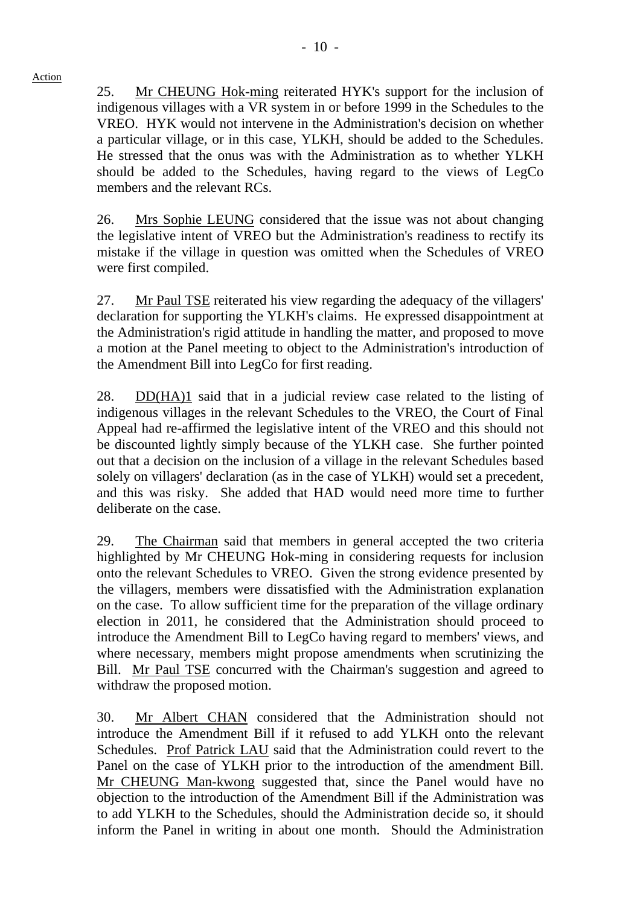Action

25. Mr CHEUNG Hok-ming reiterated HYK's support for the inclusion of indigenous villages with a VR system in or before 1999 in the Schedules to the VREO. HYK would not intervene in the Administration's decision on whether a particular village, or in this case, YLKH, should be added to the Schedules. He stressed that the onus was with the Administration as to whether YLKH should be added to the Schedules, having regard to the views of LegCo members and the relevant RCs.

26. Mrs Sophie LEUNG considered that the issue was not about changing the legislative intent of VREO but the Administration's readiness to rectify its mistake if the village in question was omitted when the Schedules of VREO were first compiled.

27. Mr Paul TSE reiterated his view regarding the adequacy of the villagers' declaration for supporting the YLKH's claims. He expressed disappointment at the Administration's rigid attitude in handling the matter, and proposed to move a motion at the Panel meeting to object to the Administration's introduction of the Amendment Bill into LegCo for first reading.

28. DD(HA)1 said that in a judicial review case related to the listing of indigenous villages in the relevant Schedules to the VREO, the Court of Final Appeal had re-affirmed the legislative intent of the VREO and this should not be discounted lightly simply because of the YLKH case. She further pointed out that a decision on the inclusion of a village in the relevant Schedules based solely on villagers' declaration (as in the case of YLKH) would set a precedent, and this was risky. She added that HAD would need more time to further deliberate on the case.

29. The Chairman said that members in general accepted the two criteria highlighted by Mr CHEUNG Hok-ming in considering requests for inclusion onto the relevant Schedules to VREO. Given the strong evidence presented by the villagers, members were dissatisfied with the Administration explanation on the case. To allow sufficient time for the preparation of the village ordinary election in 2011, he considered that the Administration should proceed to introduce the Amendment Bill to LegCo having regard to members' views, and where necessary, members might propose amendments when scrutinizing the Bill. Mr Paul TSE concurred with the Chairman's suggestion and agreed to withdraw the proposed motion.

30. Mr Albert CHAN considered that the Administration should not introduce the Amendment Bill if it refused to add YLKH onto the relevant Schedules. Prof Patrick LAU said that the Administration could revert to the Panel on the case of YLKH prior to the introduction of the amendment Bill. Mr CHEUNG Man-kwong suggested that, since the Panel would have no objection to the introduction of the Amendment Bill if the Administration was to add YLKH to the Schedules, should the Administration decide so, it should inform the Panel in writing in about one month. Should the Administration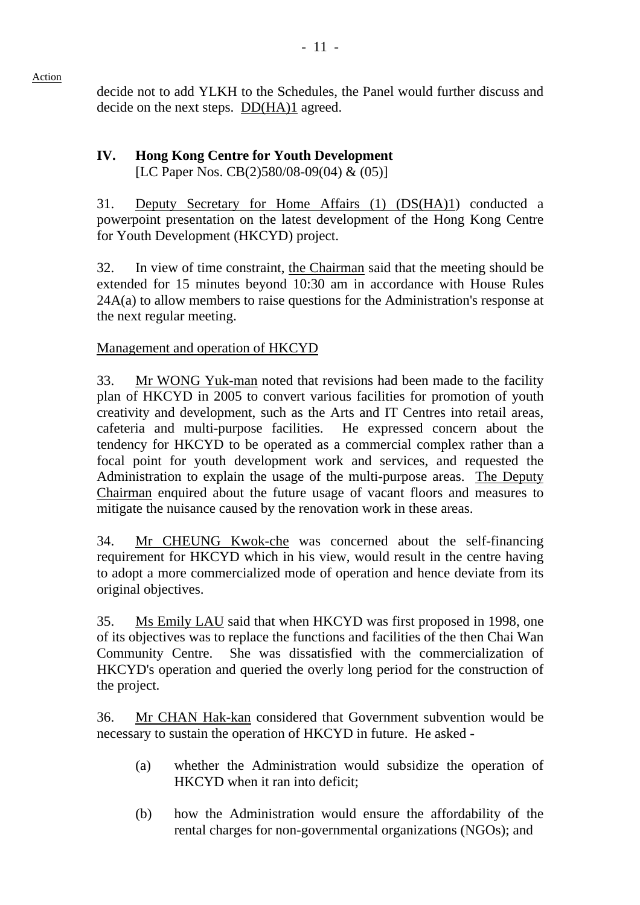decide not to add YLKH to the Schedules, the Panel would further discuss and decide on the next steps. DD(HA)1 agreed.

#### **IV. Hong Kong Centre for Youth Development**  [LC Paper Nos. CB(2)580/08-09(04) & (05)]

31. Deputy Secretary for Home Affairs (1) (DS(HA)1) conducted a powerpoint presentation on the latest development of the Hong Kong Centre for Youth Development (HKCYD) project.

32. In view of time constraint, the Chairman said that the meeting should be extended for 15 minutes beyond 10:30 am in accordance with House Rules 24A(a) to allow members to raise questions for the Administration's response at the next regular meeting.

# Management and operation of HKCYD

33. Mr WONG Yuk-man noted that revisions had been made to the facility plan of HKCYD in 2005 to convert various facilities for promotion of youth creativity and development, such as the Arts and IT Centres into retail areas, cafeteria and multi-purpose facilities. He expressed concern about the tendency for HKCYD to be operated as a commercial complex rather than a focal point for youth development work and services, and requested the Administration to explain the usage of the multi-purpose areas. The Deputy Chairman enquired about the future usage of vacant floors and measures to mitigate the nuisance caused by the renovation work in these areas.

34. Mr CHEUNG Kwok-che was concerned about the self-financing requirement for HKCYD which in his view, would result in the centre having to adopt a more commercialized mode of operation and hence deviate from its original objectives.

35. Ms Emily LAU said that when HKCYD was first proposed in 1998, one of its objectives was to replace the functions and facilities of the then Chai Wan Community Centre. She was dissatisfied with the commercialization of HKCYD's operation and queried the overly long period for the construction of the project.

36. Mr CHAN Hak-kan considered that Government subvention would be necessary to sustain the operation of HKCYD in future. He asked -

- (a) whether the Administration would subsidize the operation of HKCYD when it ran into deficit;
- (b) how the Administration would ensure the affordability of the rental charges for non-governmental organizations (NGOs); and

Action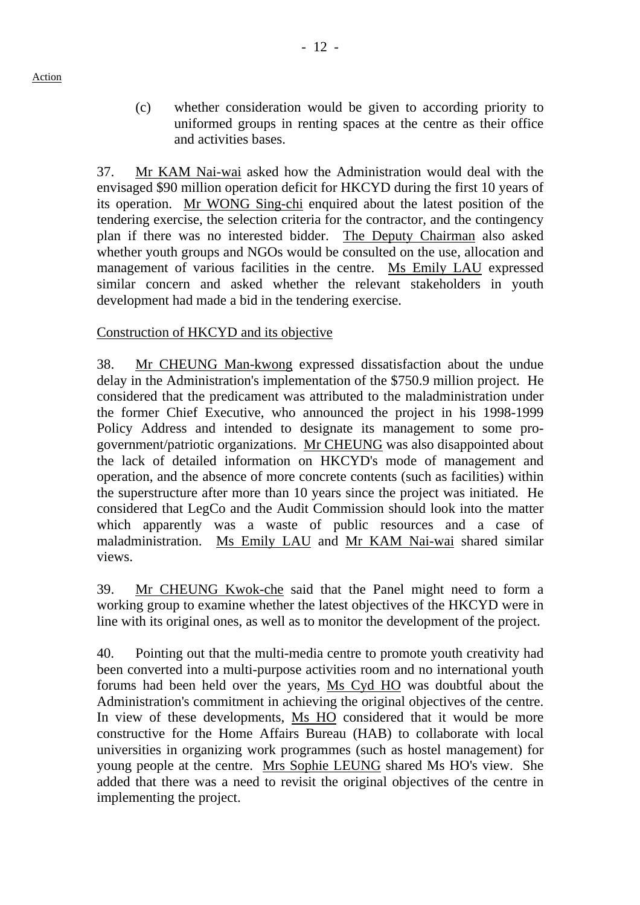(c) whether consideration would be given to according priority to uniformed groups in renting spaces at the centre as their office and activities bases.

37. Mr KAM Nai-wai asked how the Administration would deal with the envisaged \$90 million operation deficit for HKCYD during the first 10 years of its operation. Mr WONG Sing-chi enquired about the latest position of the tendering exercise, the selection criteria for the contractor, and the contingency plan if there was no interested bidder. The Deputy Chairman also asked whether youth groups and NGOs would be consulted on the use, allocation and management of various facilities in the centre. Ms Emily LAU expressed similar concern and asked whether the relevant stakeholders in youth development had made a bid in the tendering exercise.

# Construction of HKCYD and its objective

38. Mr CHEUNG Man-kwong expressed dissatisfaction about the undue delay in the Administration's implementation of the \$750.9 million project. He considered that the predicament was attributed to the maladministration under the former Chief Executive, who announced the project in his 1998-1999 Policy Address and intended to designate its management to some progovernment/patriotic organizations. Mr CHEUNG was also disappointed about the lack of detailed information on HKCYD's mode of management and operation, and the absence of more concrete contents (such as facilities) within the superstructure after more than 10 years since the project was initiated. He considered that LegCo and the Audit Commission should look into the matter which apparently was a waste of public resources and a case of maladministration. Ms Emily LAU and Mr KAM Nai-wai shared similar views.

39. Mr CHEUNG Kwok-che said that the Panel might need to form a working group to examine whether the latest objectives of the HKCYD were in line with its original ones, as well as to monitor the development of the project.

40. Pointing out that the multi-media centre to promote youth creativity had been converted into a multi-purpose activities room and no international youth forums had been held over the years, Ms Cyd HO was doubtful about the Administration's commitment in achieving the original objectives of the centre. In view of these developments, Ms HO considered that it would be more constructive for the Home Affairs Bureau (HAB) to collaborate with local universities in organizing work programmes (such as hostel management) for young people at the centre. Mrs Sophie LEUNG shared Ms HO's view. She added that there was a need to revisit the original objectives of the centre in implementing the project.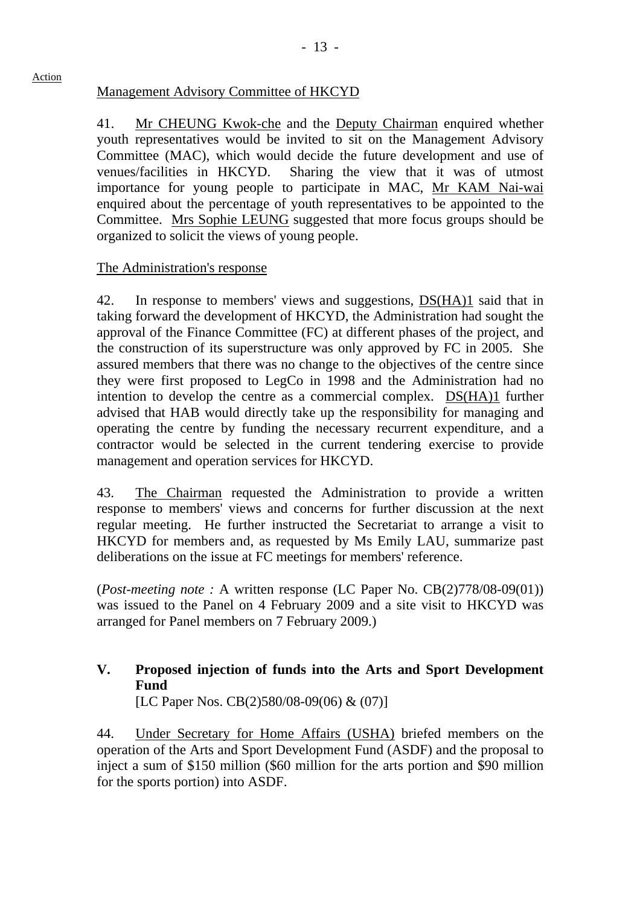# Management Advisory Committee of HKCYD

41. Mr CHEUNG Kwok-che and the Deputy Chairman enquired whether youth representatives would be invited to sit on the Management Advisory Committee (MAC), which would decide the future development and use of venues/facilities in HKCYD. Sharing the view that it was of utmost importance for young people to participate in MAC, Mr KAM Nai-wai enquired about the percentage of youth representatives to be appointed to the Committee. Mrs Sophie LEUNG suggested that more focus groups should be organized to solicit the views of young people.

# The Administration's response

42. In response to members' views and suggestions, DS(HA)1 said that in taking forward the development of HKCYD, the Administration had sought the approval of the Finance Committee (FC) at different phases of the project, and the construction of its superstructure was only approved by FC in 2005. She assured members that there was no change to the objectives of the centre since they were first proposed to LegCo in 1998 and the Administration had no intention to develop the centre as a commercial complex. DS(HA)1 further advised that HAB would directly take up the responsibility for managing and operating the centre by funding the necessary recurrent expenditure, and a contractor would be selected in the current tendering exercise to provide management and operation services for HKCYD.

43. The Chairman requested the Administration to provide a written response to members' views and concerns for further discussion at the next regular meeting. He further instructed the Secretariat to arrange a visit to HKCYD for members and, as requested by Ms Emily LAU, summarize past deliberations on the issue at FC meetings for members' reference.

(*Post-meeting note :* A written response (LC Paper No. CB(2)778/08-09(01)) was issued to the Panel on 4 February 2009 and a site visit to HKCYD was arranged for Panel members on 7 February 2009.)

# **V. Proposed injection of funds into the Arts and Sport Development Fund**

[LC Paper Nos. CB(2)580/08-09(06) & (07)]

44. Under Secretary for Home Affairs (USHA) briefed members on the operation of the Arts and Sport Development Fund (ASDF) and the proposal to inject a sum of \$150 million (\$60 million for the arts portion and \$90 million for the sports portion) into ASDF.

#### Action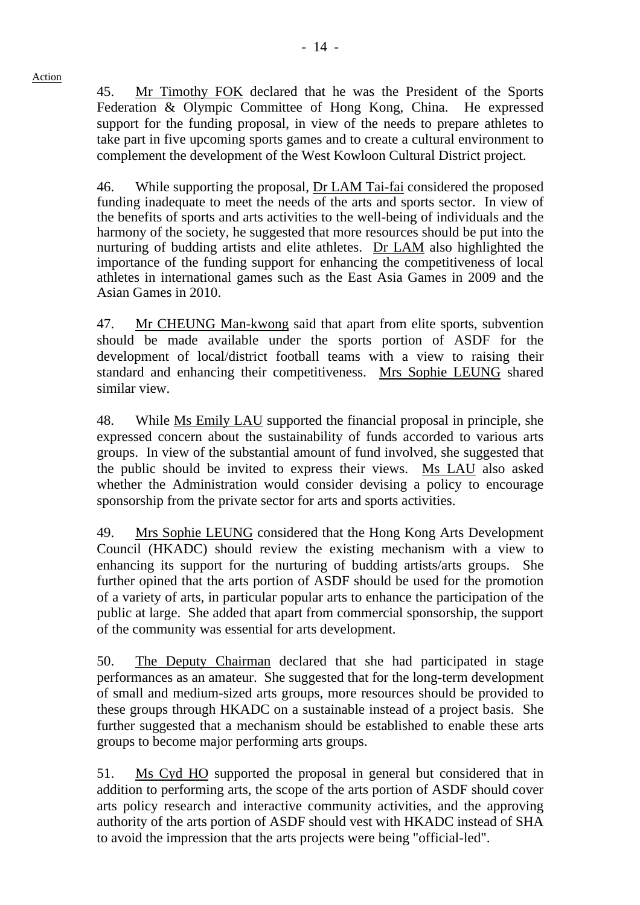45. Mr Timothy FOK declared that he was the President of the Sports Federation & Olympic Committee of Hong Kong, China. He expressed support for the funding proposal, in view of the needs to prepare athletes to take part in five upcoming sports games and to create a cultural environment to complement the development of the West Kowloon Cultural District project.

46. While supporting the proposal, Dr LAM Tai-fai considered the proposed funding inadequate to meet the needs of the arts and sports sector. In view of the benefits of sports and arts activities to the well-being of individuals and the harmony of the society, he suggested that more resources should be put into the nurturing of budding artists and elite athletes. Dr LAM also highlighted the importance of the funding support for enhancing the competitiveness of local athletes in international games such as the East Asia Games in 2009 and the Asian Games in 2010.

47. Mr CHEUNG Man-kwong said that apart from elite sports, subvention should be made available under the sports portion of ASDF for the development of local/district football teams with a view to raising their standard and enhancing their competitiveness. Mrs Sophie LEUNG shared similar view.

48. While Ms Emily LAU supported the financial proposal in principle, she expressed concern about the sustainability of funds accorded to various arts groups. In view of the substantial amount of fund involved, she suggested that the public should be invited to express their views. Ms LAU also asked whether the Administration would consider devising a policy to encourage sponsorship from the private sector for arts and sports activities.

49. Mrs Sophie LEUNG considered that the Hong Kong Arts Development Council (HKADC) should review the existing mechanism with a view to enhancing its support for the nurturing of budding artists/arts groups. She further opined that the arts portion of ASDF should be used for the promotion of a variety of arts, in particular popular arts to enhance the participation of the public at large. She added that apart from commercial sponsorship, the support of the community was essential for arts development.

50. The Deputy Chairman declared that she had participated in stage performances as an amateur. She suggested that for the long-term development of small and medium-sized arts groups, more resources should be provided to these groups through HKADC on a sustainable instead of a project basis. She further suggested that a mechanism should be established to enable these arts groups to become major performing arts groups.

51. Ms Cyd HO supported the proposal in general but considered that in addition to performing arts, the scope of the arts portion of ASDF should cover arts policy research and interactive community activities, and the approving authority of the arts portion of ASDF should vest with HKADC instead of SHA to avoid the impression that the arts projects were being "official-led".